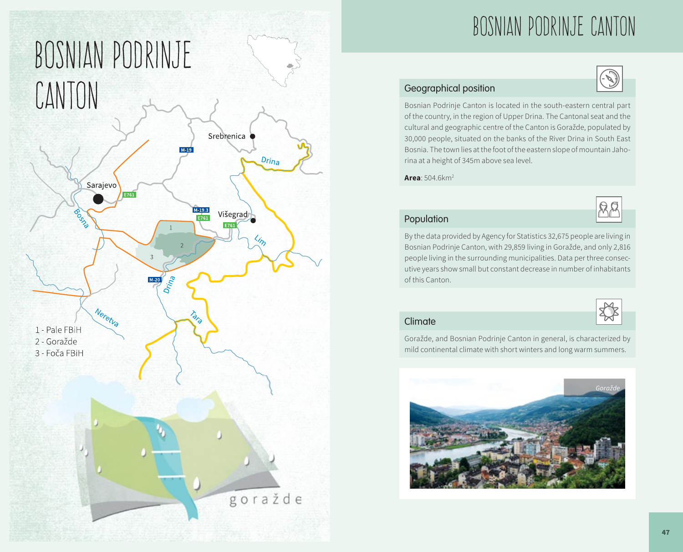

# BOSNIAN PODRINJE CANTON

### Geographical position

Bosnian Podrinje Canton is located in the south-eastern central part of the country, in the region of Upper Drina. The Cantonal seat and the cultural and geographic centre of the Canton is Goražde, populated by 30,000 people, situated on the banks of the River Drina in South East Bosnia. The town lies at the foot of the eastern slope of mountain Jahorina at a height of 345m above sea level.

**Area**: 504.6km2



券

#### Population

By the data provided by Agency for Statistics 32,675 people are living in Bosnian Podrinje Canton, with 29,859 living in Goražde, and only 2,816 people living in the surrounding municipalities. Data per three consecutive years show small but constant decrease in number of inhabitants of this Canton.

#### Climate

Goražde, and Bosnian Podrinje Canton in general, is characterized by mild continental climate with short winters and long warm summers.

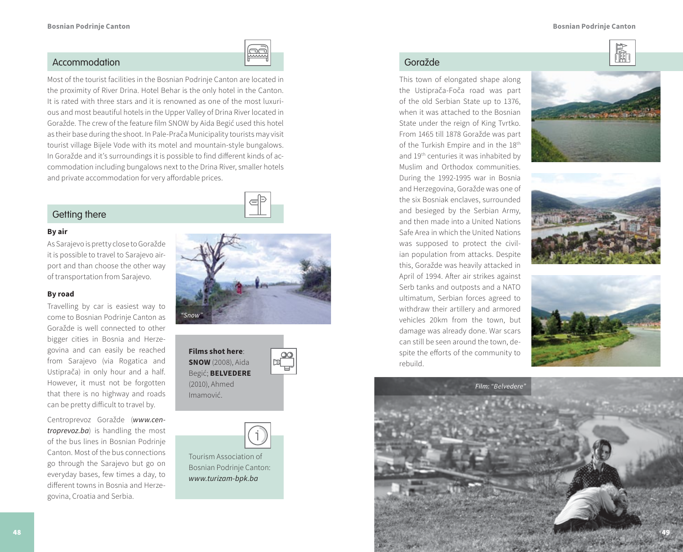慟



#### Accommodation Goražde

Most of the tourist facilities in the Bosnian Podrinje Canton are located in the proximity of River Drina. Hotel Behar is the only hotel in the Canton. It is rated with three stars and it is renowned as one of the most luxurious and most beautiful hotels in the Upper Valley of Drina River located in Goražde. The crew of the feature film SNOW by Aida Begić used this hotel as their base during the shoot. In Pale-Prača Municipality tourists may visit tourist village Bijele Vode with its motel and mountain-style bungalows. In Goražde and it's surroundings it is possible to find different kinds of accommodation including bungalows next to the Drina River, smaller hotels and private accommodation for very affordable prices.

#### Getting there

#### **By air**

As Sarajevo is pretty close to Goražde it is possible to travel to Sarajevo airport and than choose the other way of transportation from Sarajevo.

#### **By road**

Travelling by car is easiest way to come to Bosnian Podrinje Canton as Goražde is well connected to other bigger cities in Bosnia and Herzegovina and can easily be reached from Sarajevo (via Rogatica and Ustiprača) in only hour and a half. However, it must not be forgotten that there is no highway and roads can be pretty difficult to travel by.

Centroprevoz Goražde (*www.centroprevoz.ba*) is handling the most of the bus lines in Bosnian Podrinje Canton. Most of the bus connections go through the Sarajevo but go on everyday bases, few times a day, to different towns in Bosnia and Herzegovina, Croatia and Serbia.



**Films shot here**: **SNOW** (2008), Aida Begić; **BELVEDERE**  (2010), Ahmed Imamović.



 $\begin{tabular}{|c|c|} \hline \rule{0pt}{3ex} \rule{0pt}{3ex} \rule{0pt}{3ex} \rule{0pt}{3ex} \rule{0pt}{3ex} \rule{0pt}{3ex} \rule{0pt}{3ex} \rule{0pt}{3ex} \rule{0pt}{3ex} \rule{0pt}{3ex} \rule{0pt}{3ex} \rule{0pt}{3ex} \rule{0pt}{3ex} \rule{0pt}{3ex} \rule{0pt}{3ex} \rule{0pt}{3ex} \rule{0pt}{3ex} \rule{0pt}{3ex} \rule{0pt}{3ex} \rule{0pt}{3ex} \rule{0pt}{3ex} \rule{0pt}{3ex} \rule{0pt}{3$ 

Tourism Association of Bosnian Podrinje Canton: *www.turizam-bpk.ba*

This town of elongated shape along the Ustiprača-Foča road was part of the old Serbian State up to 1376, when it was attached to the Bosnian State under the reign of King Tvrtko. From 1465 till 1878 Goražde was part of the Turkish Empire and in the 18th and 19th centuries it was inhabited by Muslim and Orthodox communities. During the 1992-1995 war in Bosnia and Herzegovina, Goražde was one of the six Bosniak enclaves, surrounded and besieged by the Serbian Army, and then made into a United Nations Safe Area in which the United Nations was supposed to protect the civilian population from attacks. Despite this, Goražde was heavily attacked in April of 1994. After air strikes against Serb tanks and outposts and a NATO ultimatum, Serbian forces agreed to withdraw their artillery and armored vehicles 20km from the town, but damage was already done. War scars can still be seen around the town, despite the efforts of the community to rebuild.